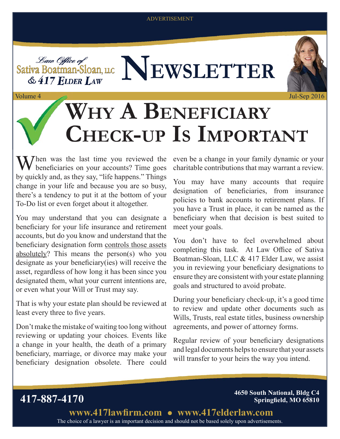#### ADVERTISEMENT





Jul-Sep 2016

# **WHY A BENEFICIARY CHECK-UP IS IMPORTANT**

 $\mathbf{W}$  hen was the last time you reviewed the beneficiaries on your accounts? Time goes by quickly and, as they say, "life happens." Things change in your life and because you are so busy, there's a tendency to put it at the bottom of your To-Do list or even forget about it altogether.

Volume 4 Volume

You may understand that you can designate a beneficiary for your life insurance and retirement accounts, but do you know and understand that the beneficiary designation form controls those assets absolutely? This means the person(s) who you designate as your beneficiary(ies) will receive the asset, regardless of how long it has been since you designated them, what your current intentions are, or even what your Will or Trust may say.

That is why your estate plan should be reviewed at least every three to five years.

Don't make the mistake of waiting too long without reviewing or updating your choices. Events like a change in your health, the death of a primary beneficiary, marriage, or divorce may make your beneficiary designation obsolete. There could even be a change in your family dynamic or your charitable contributions that may warrant a review.

You may have many accounts that require designation of beneficiaries, from insurance policies to bank accounts to retirement plans. If you have a Trust in place, it can be named as the beneficiary when that decision is best suited to meet your goals.

You don't have to feel overwhelmed about completing this task. At Law Office of Sativa Boatman-Sloan, LLC & 417 Elder Law, we assist you in reviewing your beneficiary designations to ensure they are consistent with your estate planning goals and structured to avoid probate.

During your beneficiary check-up, it's a good time to review and update other documents such as Wills, Trusts, real estate titles, business ownership agreements, and power of attorney forms.

Regular review of your beneficiary designations and legal documents helps to ensure that your assets will transfer to your heirs the way you intend.

**417-887-4170 4650 South National, Bldg C4 Springfield, MO 65810** 

> The choice of a lawyer is an important decision and should not be based solely upon advertisements. www.417lawfirm.com • www.417elderlaw.com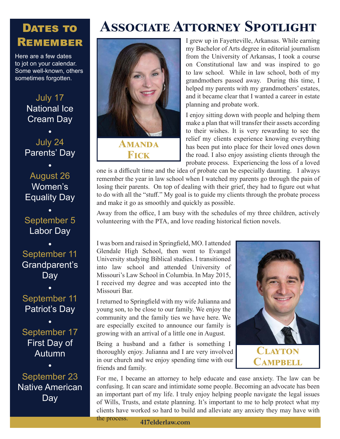### DATES TO **REMEMBER**

Here are a few dates to jot on your calendar. Some well-known, others sometimes forgotten.

> July 17 National Ice Cream Day

July 24 Parents' Day

August 26 Women's Equality Day

September 5 Labor Day

September 11 Grandparent's Day

September 11 Patriot's Day

September 17 First Day of **Autumn** 

September 23 Native American Day





I grew up in Fayetteville, Arkansas. While earning my Bachelor of Arts degree in editorial journalism from the University of Arkansas, I took a course on Constitutional law and was inspired to go to law school. While in law school, both of my grandmothers passed away. During this time, I helped my parents with my grandmothers' estates, and it became clear that I wanted a career in estate planning and probate work.

I enjoy sitting down with people and helping them make a plan that will transfer their assets according to their wishes. It is very rewarding to see the relief my clients experience knowing everything has been put into place for their loved ones down the road. I also enjoy assisting clients through the probate process. Experiencing the loss of a loved

one is a difficult time and the idea of probate can be especially daunting. I always remember the year in law school when I watched my parents go through the pain of losing their parents. On top of dealing with their grief, they had to figure out what to do with all the "stuff." My goal is to guide my clients through the probate process and make it go as smoothly and quickly as possible.

Away from the office, I am busy with the schedules of my three children, actively volunteering with the PTA, and love reading historical fiction novels.

I was born and raised in Springfield, MO. I attended Glendale High School, then went to Evangel University studying Biblical studies. I transitioned into law school and attended University of Missouri's Law School in Columbia. In May 2015, I received my degree and was accepted into the Missouri Bar.

I returned to Springfield with my wife Julianna and young son, to be close to our family. We enjoy the community and the family ties we have here. We are especially excited to announce our family is growing with an arrival of a little one in August.

Being a husband and a father is something I thoroughly enjoy. Julianna and I are very involved in our church and we enjoy spending time with our friends and family.



CAMPBELL

For me, I became an attorney to help educate and ease anxiety. The law can be confusing. It can scare and intimidate some people. Becoming an advocate has been an important part of my life. I truly enjoy helping people navigate the legal issues of Wills, Trusts, and estate planning. It's important to me to help protect what my clients have worked so hard to build and alleviate any anxiety they may have with the process.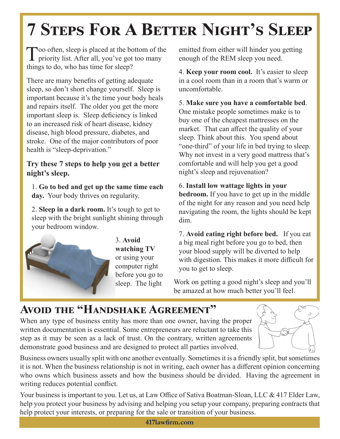# **7 STEPS FOR A BETTER NIGHT'S SLEEP**

Too often, sleep is placed at the bottom of the  $\blacksquare$  priority list. After all, you've got too many things to do, who has time for sleep?

There are many benefits of getting adequate sleep, so don't short change yourself. Sleep is important because it's the time your body heals and repairs itself. The older you get the more important sleep is. Sleep deficiency is linked to an increased risk of heart disease, kidney disease, high blood pressure, diabetes, and stroke. One of the major contributors of poor health is "sleep-deprivation."

### **Try these 7 steps to help you get a better night's sleep.**

1. **Go to bed and get up the same time each day.** Your body thrives on regularity.

2. **Sleep in a dark room.** It's tough to get to sleep with the bright sunlight shining through your bedroom window.



3. **Avoid watching TV**  or using your computer right before you go to sleep. The light

emitted from either will hinder you getting enough of the REM sleep you need.

4. **Keep your room cool.** It's easier to sleep in a cool room than in a room that's warm or uncomfortable.

5. **Make sure you have a comfortable bed**. One mistake people sometimes make is to buy one of the cheapest mattresses on the market. That can affect the quality of your sleep. Think about this. You spend about "one-third" of your life in bed trying to sleep. Why not invest in a very good mattress that's comfortable and will help you get a good night's sleep and rejuvenation?

6. **Install low wattage lights in your bedroom.** If you have to get up in the middle of the night for any reason and you need help navigating the room, the lights should be kept dim.

7. **Avoid eating right before bed.** If you eat a big meal right before you go to bed, then your blood supply will be diverted to help with digestion. This makes it more difficult for you to get to sleep.

Work on getting a good night's sleep and you'll be amazed at how much better you'll feel.

### **AVOID THE "HANDSHAKE AGREEMENT"**

When any type of business entity has more than one owner, having the proper written documentation is essential. Some entrepreneurs are reluctant to take this step as it may be seen as a lack of trust. On the contrary, written agreements demonstrate good business and are designed to protect all parties involved.



Business owners usually split with one another eventually. Sometimes it is a friendly split, but sometimes it is not. When the business relationship is not in writing, each owner has a different opinion concerning who owns which business assets and how the business should be divided. Having the agreement in writing reduces potential conflict.

Your business is important to you. Let us, at Law Office of Sativa Boatman-Sloan, LLC & 417 Elder Law, help you protect your business by advising and helping you setup your company, preparing contracts that help protect your interests, or preparing for the sale or transition of your business.

**417lawfi rm.com**